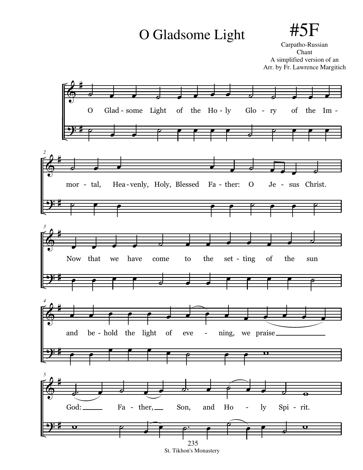## O Gladsome Light  $\#$ .



Carpatho-Russian Chant A simplified version of an Arr. by Fr. Lawrence Margitich



St. Tikhon's Monastery